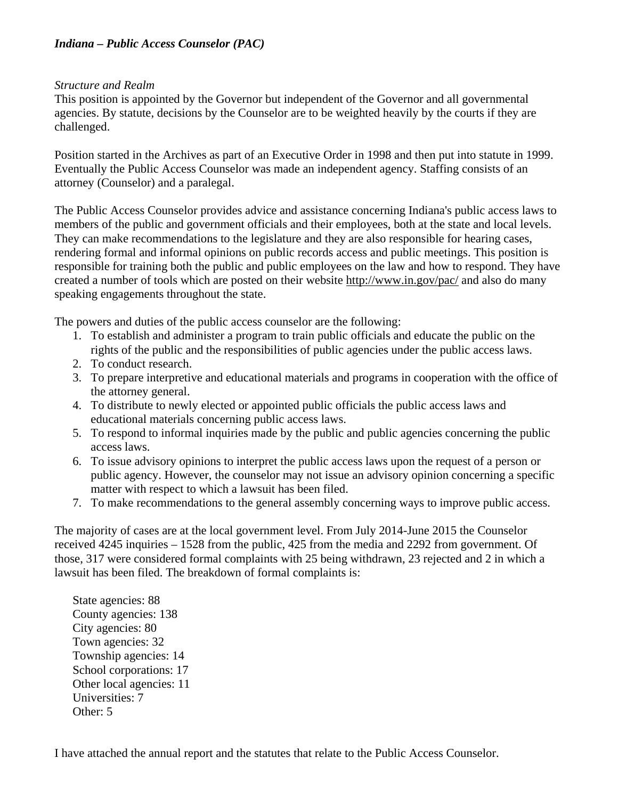# *Indiana – Public Access Counselor (PAC)*

### *Structure and Realm*

This position is appointed by the Governor but independent of the Governor and all governmental agencies. By statute, decisions by the Counselor are to be weighted heavily by the courts if they are challenged.

Position started in the Archives as part of an Executive Order in 1998 and then put into statute in 1999. Eventually the Public Access Counselor was made an independent agency. Staffing consists of an attorney (Counselor) and a paralegal.

The Public Access Counselor provides advice and assistance concerning Indiana's public access laws to members of the public and government officials and their employees, both at the state and local levels. They can make recommendations to the legislature and they are also responsible for hearing cases, rendering formal and informal opinions on public records access and public meetings. This position is responsible for training both the public and public employees on the law and how to respond. They have created a number of tools which are posted on their website<http://www.in.gov/pac/> and also do many speaking engagements throughout the state.

The powers and duties of the public access counselor are the following:

- 1. To establish and administer a program to train public officials and educate the public on the rights of the public and the responsibilities of public agencies under the public access laws.
- 2. To conduct research.
- 3. To prepare interpretive and educational materials and programs in cooperation with the office of the attorney general.
- 4. To distribute to newly elected or appointed public officials the public access laws and educational materials concerning public access laws.
- 5. To respond to informal inquiries made by the public and public agencies concerning the public access laws.
- 6. To issue advisory opinions to interpret the public access laws upon the request of a person or public agency. However, the counselor may not issue an advisory opinion concerning a specific matter with respect to which a lawsuit has been filed.
- 7. To make recommendations to the general assembly concerning ways to improve public access.

The majority of cases are at the local government level. From July 2014-June 2015 the Counselor received 4245 inquiries – 1528 from the public, 425 from the media and 2292 from government. Of those, 317 were considered formal complaints with 25 being withdrawn, 23 rejected and 2 in which a lawsuit has been filed. The breakdown of formal complaints is:

State agencies: 88 County agencies: 138 City agencies: 80 Town agencies: 32 Township agencies: 14 School corporations: 17 Other local agencies: 11 Universities: 7 Other: 5

I have attached the annual report and the statutes that relate to the Public Access Counselor.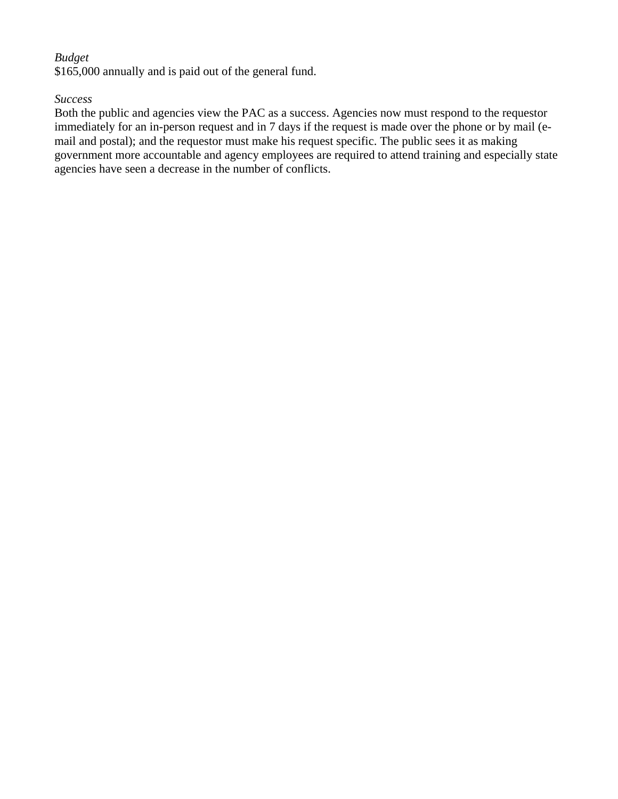# *Budget*

\$165,000 annually and is paid out of the general fund.

### *Success*

Both the public and agencies view the PAC as a success. Agencies now must respond to the requestor immediately for an in-person request and in 7 days if the request is made over the phone or by mail (email and postal); and the requestor must make his request specific. The public sees it as making government more accountable and agency employees are required to attend training and especially state agencies have seen a decrease in the number of conflicts.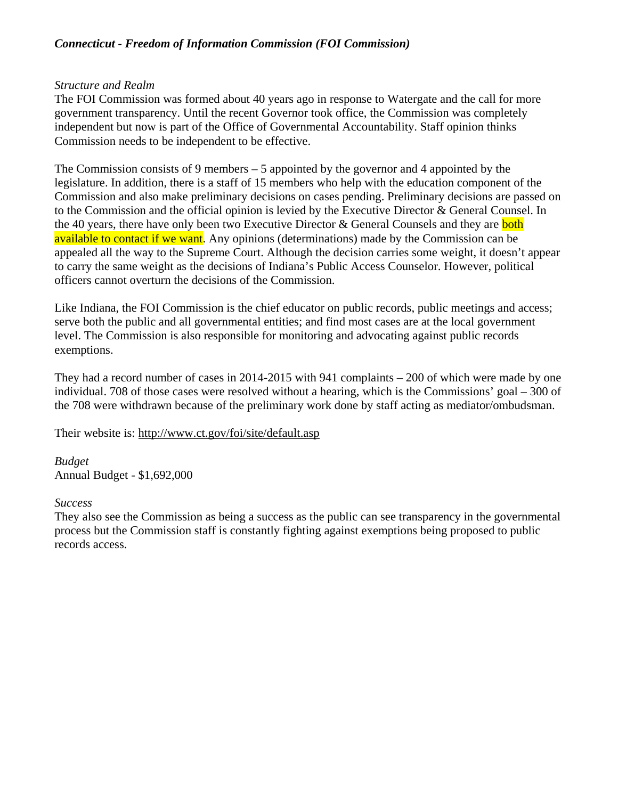# *Connecticut - Freedom of Information Commission (FOI Commission)*

### *Structure and Realm*

The FOI Commission was formed about 40 years ago in response to Watergate and the call for more government transparency. Until the recent Governor took office, the Commission was completely independent but now is part of the Office of Governmental Accountability. Staff opinion thinks Commission needs to be independent to be effective.

The Commission consists of 9 members – 5 appointed by the governor and 4 appointed by the legislature. In addition, there is a staff of 15 members who help with the education component of the Commission and also make preliminary decisions on cases pending. Preliminary decisions are passed on to the Commission and the official opinion is levied by the Executive Director & General Counsel. In the 40 years, there have only been two Executive Director  $\&$  General Counsels and they are **both** available to contact if we want. Any opinions (determinations) made by the Commission can be appealed all the way to the Supreme Court. Although the decision carries some weight, it doesn't appear to carry the same weight as the decisions of Indiana's Public Access Counselor. However, political officers cannot overturn the decisions of the Commission.

Like Indiana, the FOI Commission is the chief educator on public records, public meetings and access; serve both the public and all governmental entities; and find most cases are at the local government level. The Commission is also responsible for monitoring and advocating against public records exemptions.

They had a record number of cases in 2014-2015 with 941 complaints – 200 of which were made by one individual. 708 of those cases were resolved without a hearing, which is the Commissions' goal – 300 of the 708 were withdrawn because of the preliminary work done by staff acting as mediator/ombudsman.

Their website is:<http://www.ct.gov/foi/site/default.asp>

## *Budget* Annual Budget - \$1,692,000

*Success*

They also see the Commission as being a success as the public can see transparency in the governmental process but the Commission staff is constantly fighting against exemptions being proposed to public records access.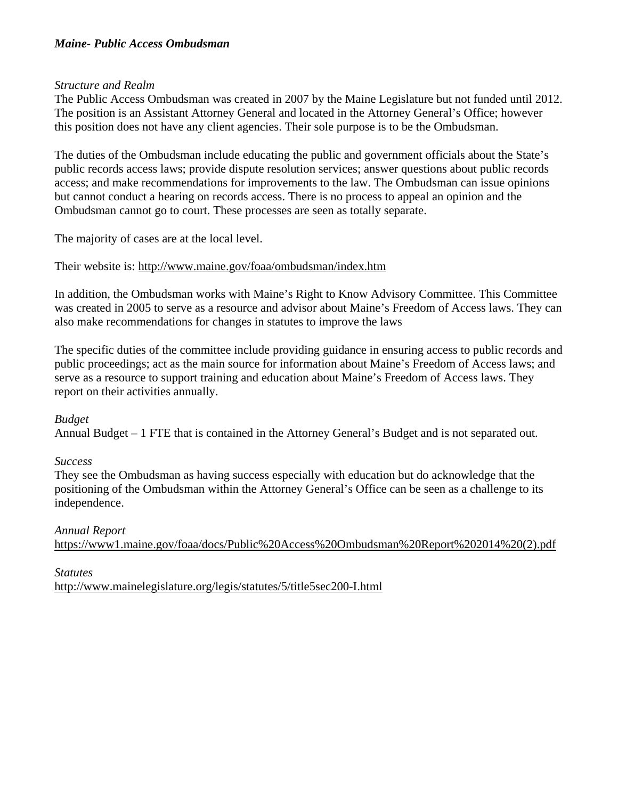## *Maine- Public Access Ombudsman*

### *Structure and Realm*

The Public Access Ombudsman was created in 2007 by the Maine Legislature but not funded until 2012. The position is an Assistant Attorney General and located in the Attorney General's Office; however this position does not have any client agencies. Their sole purpose is to be the Ombudsman.

The duties of the Ombudsman include educating the public and government officials about the State's public records access laws; provide dispute resolution services; answer questions about public records access; and make recommendations for improvements to the law. The Ombudsman can issue opinions but cannot conduct a hearing on records access. There is no process to appeal an opinion and the Ombudsman cannot go to court. These processes are seen as totally separate.

The majority of cases are at the local level.

Their website is:<http://www.maine.gov/foaa/ombudsman/index.htm>

In addition, the Ombudsman works with Maine's Right to Know Advisory Committee. This Committee was created in 2005 to serve as a resource and advisor about Maine's Freedom of Access laws. They can also make recommendations for changes in statutes to improve the laws

The specific duties of the committee include providing guidance in ensuring access to public records and public proceedings; act as the main source for information about Maine's Freedom of Access laws; and serve as a resource to support training and education about Maine's Freedom of Access laws. They report on their activities annually.

## *Budget*

Annual Budget – 1 FTE that is contained in the Attorney General's Budget and is not separated out.

## *Success*

They see the Ombudsman as having success especially with education but do acknowledge that the positioning of the Ombudsman within the Attorney General's Office can be seen as a challenge to its independence.

*Annual Report* [https://www1.maine.gov/foaa/docs/Public%20Access%20Ombudsman%20Report%202014%20\(2\).pdf](https://www1.maine.gov/foaa/docs/Public%20Access%20Ombudsman%20Report%202014%20(2).pdf)

*Statutes* <http://www.mainelegislature.org/legis/statutes/5/title5sec200-I.html>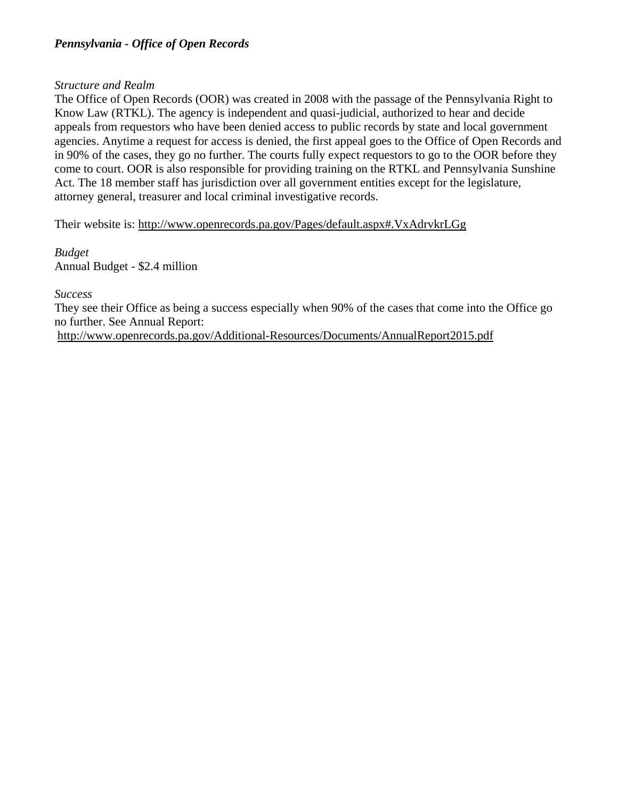# *Pennsylvania - Office of Open Records*

## *Structure and Realm*

The Office of Open Records (OOR) was created in 2008 with the passage of the Pennsylvania Right to Know Law (RTKL). The agency is independent and quasi-judicial, authorized to hear and decide appeals from requestors who have been denied access to public records by state and local government agencies. Anytime a request for access is denied, the first appeal goes to the Office of Open Records and in 90% of the cases, they go no further. The courts fully expect requestors to go to the OOR before they come to court. OOR is also responsible for providing training on the RTKL and Pennsylvania Sunshine Act. The 18 member staff has jurisdiction over all government entities except for the legislature, attorney general, treasurer and local criminal investigative records.

Their website is:<http://www.openrecords.pa.gov/Pages/default.aspx#.VxAdrvkrLGg>

*Budget* Annual Budget - \$2.4 million

## *Success*

They see their Office as being a success especially when 90% of the cases that come into the Office go no further. See Annual Report:

<http://www.openrecords.pa.gov/Additional-Resources/Documents/AnnualReport2015.pdf>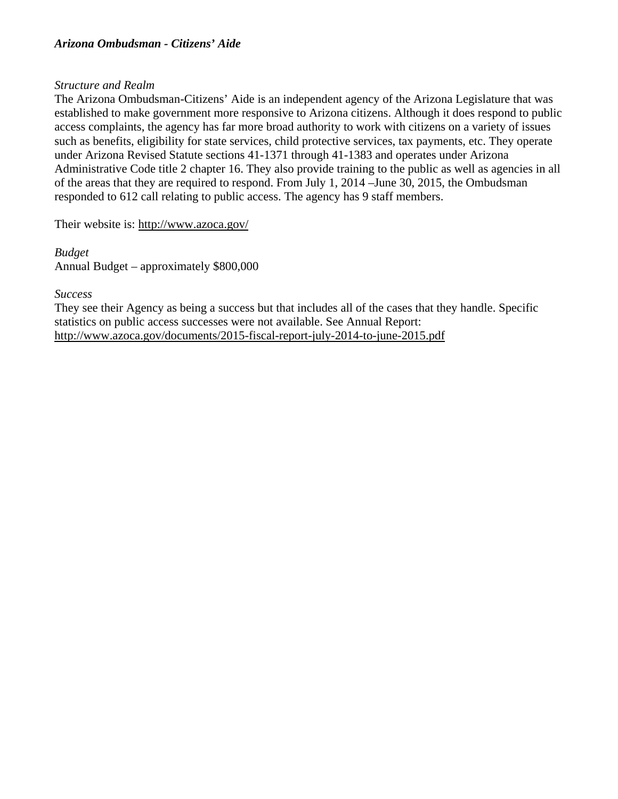## *Structure and Realm*

The Arizona Ombudsman-Citizens' Aide is an independent agency of the Arizona Legislature that was established to make government more responsive to Arizona citizens. Although it does respond to public access complaints, the agency has far more broad authority to work with citizens on a variety of issues such as benefits, eligibility for state services, child protective services, tax payments, etc. They operate under Arizona Revised Statute sections 41-1371 through 41-1383 and operates under Arizona Administrative Code title 2 chapter 16. They also provide training to the public as well as agencies in all of the areas that they are required to respond. From July 1, 2014 –June 30, 2015, the Ombudsman responded to 612 call relating to public access. The agency has 9 staff members.

Their website is:<http://www.azoca.gov/>

*Budget* Annual Budget – approximately \$800,000

## *Success*

They see their Agency as being a success but that includes all of the cases that they handle. Specific statistics on public access successes were not available. See Annual Report: <http://www.azoca.gov/documents/2015-fiscal-report-july-2014-to-june-2015.pdf>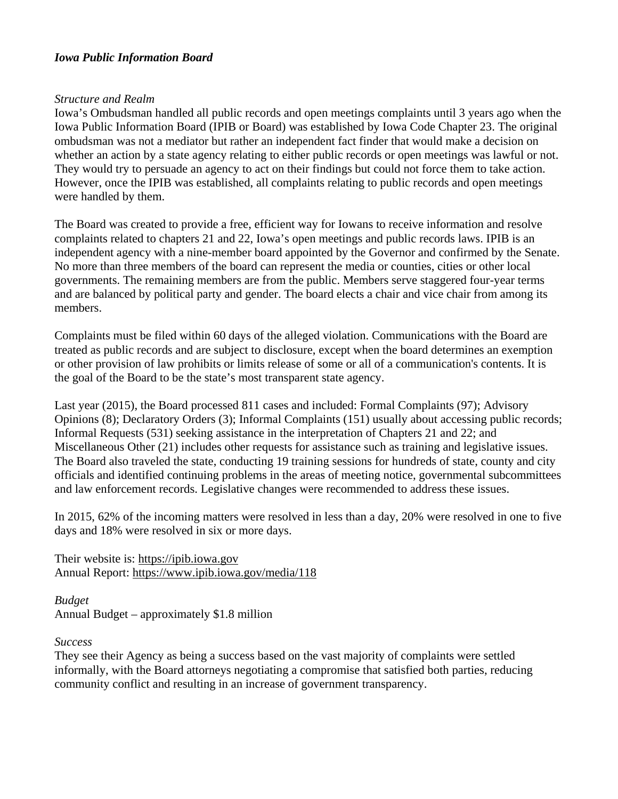#### *Iowa Public Information Board*

#### *Structure and Realm*

Iowa's Ombudsman handled all public records and open meetings complaints until 3 years ago when the Iowa Public Information Board (IPIB or Board) was established by Iowa Code Chapter 23. The original ombudsman was not a mediator but rather an independent fact finder that would make a decision on whether an action by a state agency relating to either public records or open meetings was lawful or not. They would try to persuade an agency to act on their findings but could not force them to take action. However, once the IPIB was established, all complaints relating to public records and open meetings were handled by them.

The Board was created to provide a free, efficient way for Iowans to receive information and resolve complaints related to chapters 21 and 22, Iowa's open meetings and public records laws. IPIB is an independent agency with a nine-member board appointed by the Governor and confirmed by the Senate. No more than three members of the board can represent the media or counties, cities or other local governments. The remaining members are from the public. Members serve staggered four-year terms and are balanced by political party and gender. The board elects a chair and vice chair from among its members.

Complaints must be filed within 60 days of the alleged violation. Communications with the Board are treated as public records and are subject to disclosure, except when the board determines an exemption or other provision of law prohibits or limits release of some or all of a communication's contents. It is the goal of the Board to be the state's most transparent state agency.

Last year (2015), the Board processed 811 cases and included: Formal Complaints (97); Advisory Opinions (8); Declaratory Orders (3); Informal Complaints (151) usually about accessing public records; Informal Requests (531) seeking assistance in the interpretation of Chapters 21 and 22; and Miscellaneous Other (21) includes other requests for assistance such as training and legislative issues. The Board also traveled the state, conducting 19 training sessions for hundreds of state, county and city officials and identified continuing problems in the areas of meeting notice, governmental subcommittees and law enforcement records. Legislative changes were recommended to address these issues.

In 2015, 62% of the incoming matters were resolved in less than a day, 20% were resolved in one to five days and 18% were resolved in six or more days.

Their website is: [https://ipib.iowa.gov](https://ipib.iowa.gov/) Annual Report:<https://www.ipib.iowa.gov/media/118>

*Budget* Annual Budget – approximately \$1.8 million

#### *Success*

They see their Agency as being a success based on the vast majority of complaints were settled informally, with the Board attorneys negotiating a compromise that satisfied both parties, reducing community conflict and resulting in an increase of government transparency.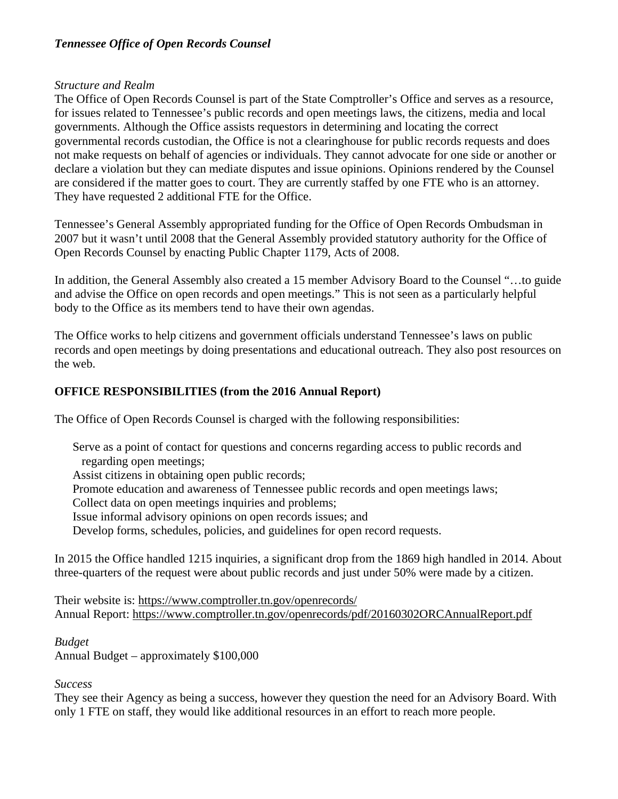# *Tennessee Office of Open Records Counsel*

## *Structure and Realm*

The Office of Open Records Counsel is part of the State Comptroller's Office and serves as a resource, for issues related to Tennessee's public records and open meetings laws, the citizens, media and local governments. Although the Office assists requestors in determining and locating the correct governmental records custodian, the Office is not a clearinghouse for public records requests and does not make requests on behalf of agencies or individuals. They cannot advocate for one side or another or declare a violation but they can mediate disputes and issue opinions. Opinions rendered by the Counsel are considered if the matter goes to court. They are currently staffed by one FTE who is an attorney. They have requested 2 additional FTE for the Office.

Tennessee's General Assembly appropriated funding for the Office of Open Records Ombudsman in 2007 but it wasn't until 2008 that the General Assembly provided statutory authority for the Office of Open Records Counsel by enacting Public Chapter 1179, Acts of 2008.

In addition, the General Assembly also created a 15 member Advisory Board to the Counsel "…to guide and advise the Office on open records and open meetings." This is not seen as a particularly helpful body to the Office as its members tend to have their own agendas.

The Office works to help citizens and government officials understand Tennessee's laws on public records and open meetings by doing presentations and educational outreach. They also post resources on the web.

# **OFFICE RESPONSIBILITIES (from the 2016 Annual Report)**

The Office of Open Records Counsel is charged with the following responsibilities:

Serve as a point of contact for questions and concerns regarding access to public records and regarding open meetings;

Assist citizens in obtaining open public records;

Promote education and awareness of Tennessee public records and open meetings laws;

Collect data on open meetings inquiries and problems;

Issue informal advisory opinions on open records issues; and

Develop forms, schedules, policies, and guidelines for open record requests.

In 2015 the Office handled 1215 inquiries, a significant drop from the 1869 high handled in 2014. About three-quarters of the request were about public records and just under 50% were made by a citizen.

Their website is:<https://www.comptroller.tn.gov/openrecords/> Annual Report:<https://www.comptroller.tn.gov/openrecords/pdf/20160302ORCAnnualReport.pdf>

## *Budget*

Annual Budget – approximately \$100,000

## *Success*

They see their Agency as being a success, however they question the need for an Advisory Board. With only 1 FTE on staff, they would like additional resources in an effort to reach more people.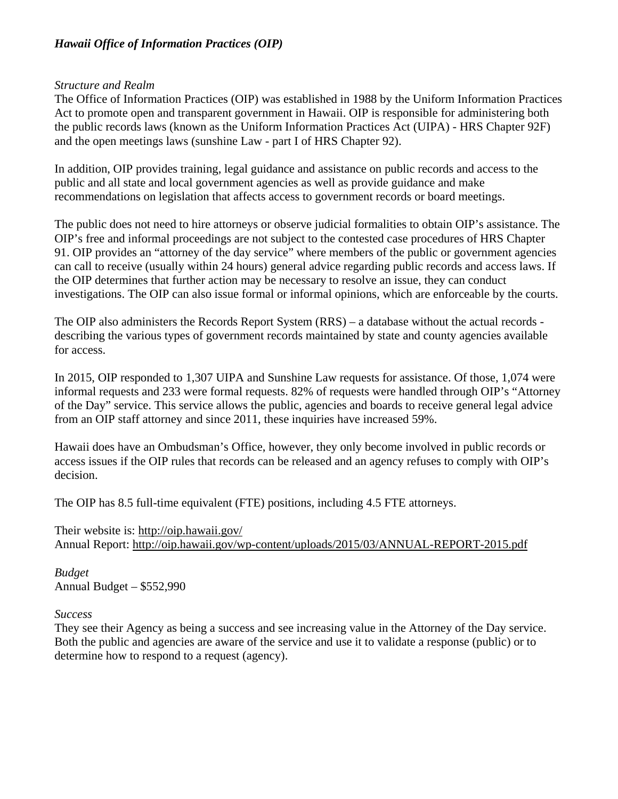# *Hawaii Office of Information Practices (OIP)*

### *Structure and Realm*

The Office of Information Practices (OIP) was established in 1988 by the Uniform Information Practices Act to promote open and transparent government in Hawaii. OIP is responsible for administering both the public records laws (known as the Uniform Information Practices Act (UIPA) - HRS Chapter 92F) and the open meetings laws (sunshine Law - part I of HRS Chapter 92).

In addition, OIP provides training, legal guidance and assistance on public records and access to the public and all state and local government agencies as well as provide guidance and make recommendations on legislation that affects access to government records or board meetings.

The public does not need to hire attorneys or observe judicial formalities to obtain OIP's assistance. The OIP's free and informal proceedings are not subject to the contested case procedures of HRS Chapter 91. OIP provides an "attorney of the day service" where members of the public or government agencies can call to receive (usually within 24 hours) general advice regarding public records and access laws. If the OIP determines that further action may be necessary to resolve an issue, they can conduct investigations. The OIP can also issue formal or informal opinions, which are enforceable by the courts.

The OIP also administers the Records Report System (RRS) – a database without the actual records describing the various types of government records maintained by state and county agencies available for access.

In 2015, OIP responded to 1,307 UIPA and Sunshine Law requests for assistance. Of those, 1,074 were informal requests and 233 were formal requests. 82% of requests were handled through OIP's "Attorney of the Day" service. This service allows the public, agencies and boards to receive general legal advice from an OIP staff attorney and since 2011, these inquiries have increased 59%.

Hawaii does have an Ombudsman's Office, however, they only become involved in public records or access issues if the OIP rules that records can be released and an agency refuses to comply with OIP's decision.

The OIP has 8.5 full-time equivalent (FTE) positions, including 4.5 FTE attorneys.

Their website is:<http://oip.hawaii.gov/> Annual Report:<http://oip.hawaii.gov/wp-content/uploads/2015/03/ANNUAL-REPORT-2015.pdf>

*Budget* Annual Budget – \$552,990

## *Success*

They see their Agency as being a success and see increasing value in the Attorney of the Day service. Both the public and agencies are aware of the service and use it to validate a response (public) or to determine how to respond to a request (agency).